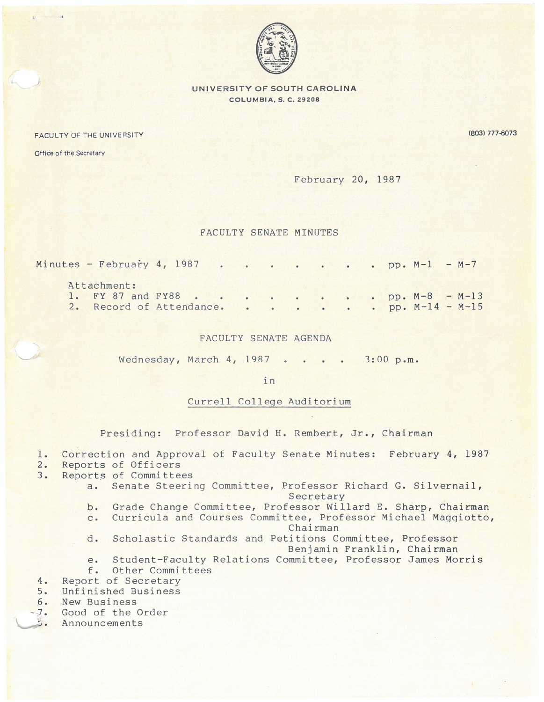

**UNIVERSITY OF SOUTH CAROLINA COLUMBIA, S. C. Z9ZOB** 

FACULTY OF THE UNIVERSITY

(803) 777-6073

Office of the Secretary

## February 20, 1987

## FACULTY SENATE MINUTES

| Minutes - February 4, 1987 pp. $M-1$ - $M-7$                                                |  |  |  |  |  |  |  |
|---------------------------------------------------------------------------------------------|--|--|--|--|--|--|--|
| Attachment:<br>1. FY 87 and FY88 pp. M-8 - M-13<br>2. Record of Attendance. pp. M-14 - M-15 |  |  |  |  |  |  |  |

## FACULTY SENATE AGENDA

Wednesday, March 4, 1987 3:00 p.m.

in

## Currell College Auditorium

Presiding: Professor David H. Rembert, Jr., Chairman

- 1. Correction and Approval of Faculty Senate Minutes: February **4,** 1987
- 
- 2. Reports of Officers<br>3. Reports of Committee Reports of Committees
	- a. Senate Steering Committee, Professor Richard G. Silvernail,

Secretary

- b. Grade Change Committee, Professor Willard E. Sharp, Chairman
- c. Curricula and Courses Committee, Professor Michael Magqiotto,
- Chairman d. Scholastic Standards and Petitions Committee, Professor

Benjamin Franklin, Chairman

- e. Student-Faculty Relations Committee, Professor James Morris
- f. Other Committees
- 
- 4. Report of Secretary<br>5. Unfinished Business Unfinished Business
- 6. New Business
- 7. Good of the Order<br>2. Announcements
- Announcements